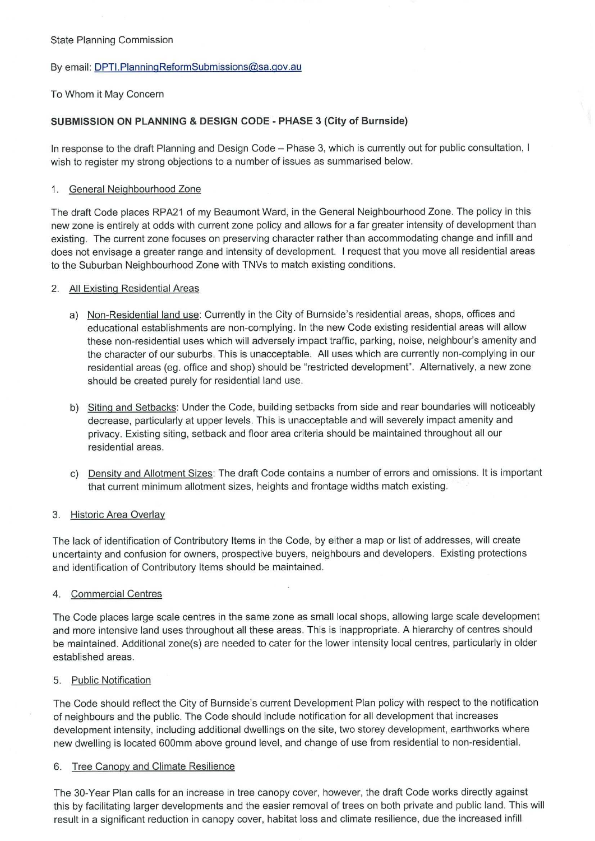### State Planning Commission

## By email: DPTI.PlanningReformSubmissions@sa.gov.au

## To Whom it May Concern

# **SUBMISSION ON PLANNING & DESIGN CODE - PHASE** 3 **(City of Burnside)**

In response to the draft Planning and Design Code — Phase 3, which is currently out for public consultation, I wish to register my strong objections to a number of issues as summarised below.

### 1. General Neighbourhood Zone

The draft Code places RPA21 of my Beaumont Ward, in the General Neighbourhood Zone. The policy in this new zone is entirely at odds with current zone policy and allows for a far greater intensity of development than existing. The current zone focuses on preserving character rather than accommodating change and infill and does not envisage a greater range and intensity of development. I request that you move all residential areas to the Suburban Neighbourhood Zone with TNVs to match existing conditions.

## 2. All Existing Residential Areas

- a) Non-Residential land use: Currently in the City of Burnside's residential areas, shops, offices and educational establishments are non-complying. In the new Code existing residential areas will allow these non-residential uses which will adversely impact traffic, parking, noise, neighbour's amenity and the character of our suburbs. This is unacceptable. All uses which are currently non-complying in our residential areas (eg. office and shop) should be "restricted development". Alternatively, a new zone should be created purely for residential land use.
- b) Siting and Setbacks: Under the Code, building setbacks from side and rear boundaries will noticeably decrease, particularly at upper levels. This is unacceptable and will severely impact amenity and privacy. Existing siting, setback and floor area criteria should be maintained throughout all our residential areas.
- c) Density and Allotment Sizes: The draft Code contains a number of errors and omissions. It is important that current minimum allotment sizes, heights and frontage widths match existing.

# 3. Historic Area Overlay

The lack of identification of Contributory Items in the Code, by either a map or list of addresses, will create uncertainty and confusion for owners, prospective buyers, neighbours and developers. Existing protections and identification of Contributory Items should be maintained.

# 4. Commercial Centres

The Code places large scale centres in the same zone as small local shops, allowing large scale development and more intensive land uses throughout all these areas. This is inappropriate. A hierarchy of centres should be maintained. Additional zone(s) are needed to cater for the lower intensity local centres, particularly in older established areas.

### 5. Public Notification

The Code should reflect the City of Burnside's current Development Plan policy with respect to the notification of neighbours and the public. The Code should include notification for all development that increases development intensity, including additional dwellings on the site, two storey development, earthworks where new dwelling is located 600mm above ground level, and change of use from residential to non-residential.

### 6. Tree Canopy and Climate Resilience

The 30-Year Plan calls for an increase in tree canopy cover, however, the draft Code works directly against this by facilitating larger developments and the easier removal of trees on both private and public land. This will result in a significant reduction in canopy cover, habitat loss and climate resilience, due the increased infill